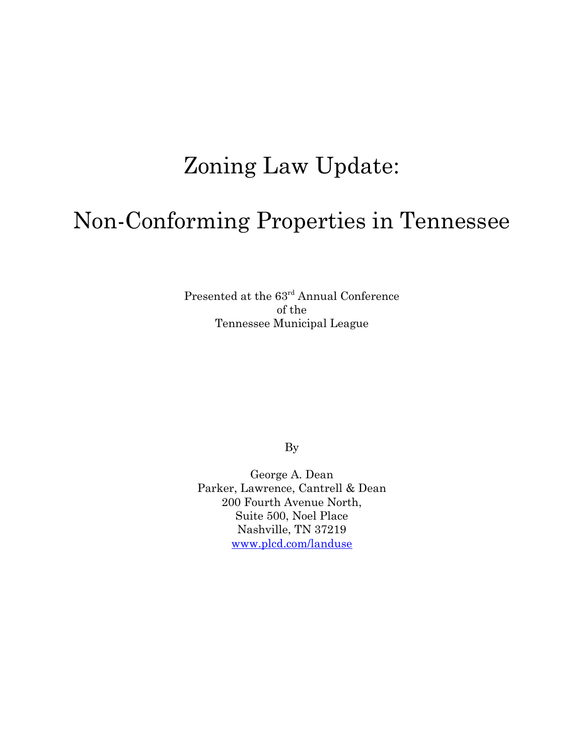## Zoning Law Update:

## Non-Conforming Properties in Tennessee

Presented at the  $63<sup>rd</sup>$  Annual Conference of the Tennessee Municipal League

By

George A. Dean Parker, Lawrence, Cantrell & Dean 200 Fourth Avenue North, Suite 500, Noel Place Nashville, TN 37219 www.plcd.com/landuse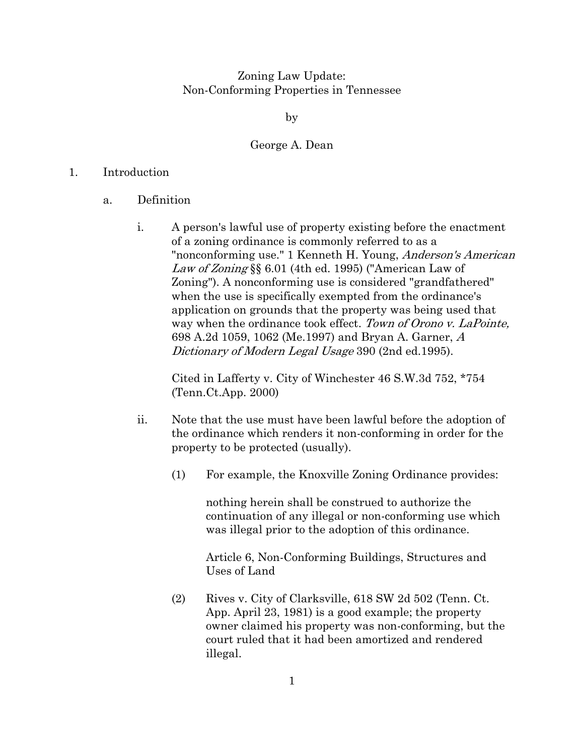Zoning Law Update: Non-Conforming Properties in Tennessee

by

## George A. Dean

## 1. Introduction

- a. Definition
	- i. A person's lawful use of property existing before the enactment of a zoning ordinance is commonly referred to as a "nonconforming use." 1 Kenneth H. Young, Anderson's American Law of Zoning §§ 6.01 (4th ed. 1995) ("American Law of Zoning"). A nonconforming use is considered "grandfathered" when the use is specifically exempted from the ordinance's application on grounds that the property was being used that way when the ordinance took effect. Town of Orono v. LaPointe, 698 A.2d 1059, 1062 (Me.1997) and Bryan A. Garner, A Dictionary of Modern Legal Usage 390 (2nd ed.1995).

Cited in Lafferty v. City of Winchester 46 S.W.3d 752, \*754 (Tenn.Ct.App. 2000)

- ii. Note that the use must have been lawful before the adoption of the ordinance which renders it non-conforming in order for the property to be protected (usually).
	- (1) For example, the Knoxville Zoning Ordinance provides:

nothing herein shall be construed to authorize the continuation of any illegal or non-conforming use which was illegal prior to the adoption of this ordinance.

Article 6, Non-Conforming Buildings, Structures and Uses of Land

(2) Rives v. City of Clarksville, 618 SW 2d 502 (Tenn. Ct. App. April 23, 1981) is a good example; the property owner claimed his property was non-conforming, but the court ruled that it had been amortized and rendered illegal.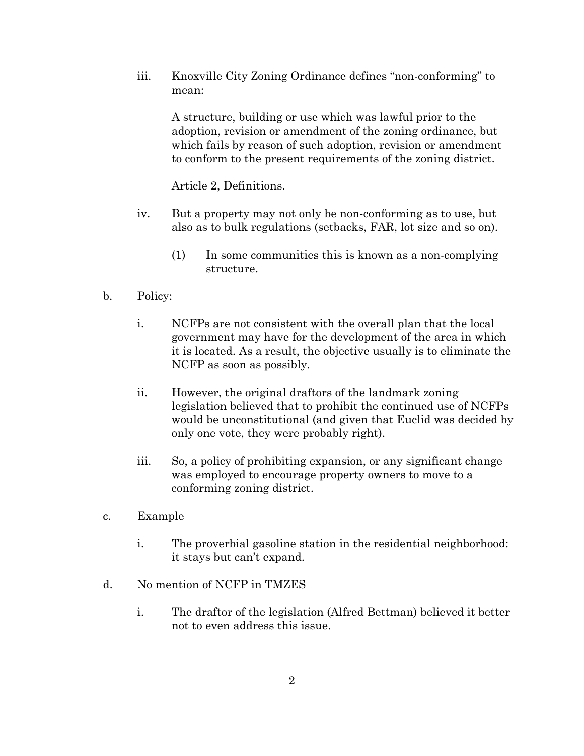iii. Knoxville City Zoning Ordinance defines "non-conforming" to mean:

A structure, building or use which was lawful prior to the adoption, revision or amendment of the zoning ordinance, but which fails by reason of such adoption, revision or amendment to conform to the present requirements of the zoning district.

Article 2, Definitions.

- iv. But a property may not only be non-conforming as to use, but also as to bulk regulations (setbacks, FAR, lot size and so on).
	- (1) In some communities this is known as a non-complying structure.
- b. Policy:
	- i. NCFPs are not consistent with the overall plan that the local government may have for the development of the area in which it is located. As a result, the objective usually is to eliminate the NCFP as soon as possibly.
	- ii. However, the original draftors of the landmark zoning legislation believed that to prohibit the continued use of NCFPs would be unconstitutional (and given that Euclid was decided by only one vote, they were probably right).
	- iii. So, a policy of prohibiting expansion, or any significant change was employed to encourage property owners to move to a conforming zoning district.
- c. Example
	- i. The proverbial gasoline station in the residential neighborhood: it stays but can't expand.
- d. No mention of NCFP in TMZES
	- i. The draftor of the legislation (Alfred Bettman) believed it better not to even address this issue.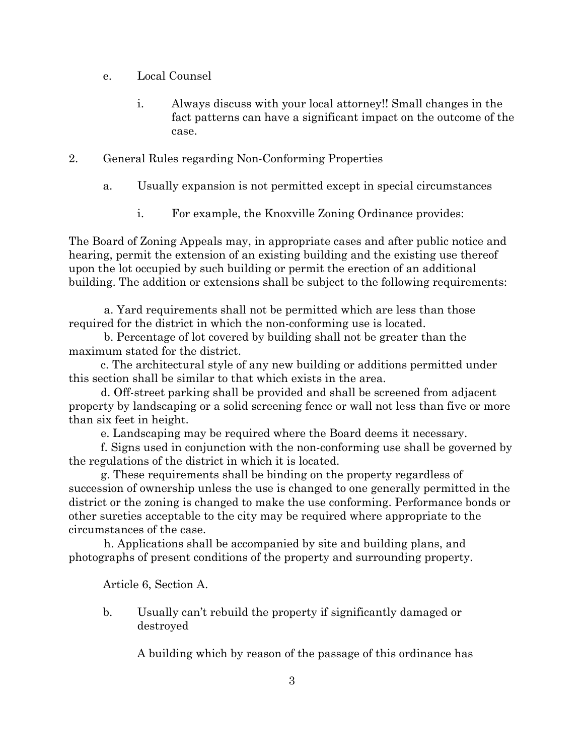- e. Local Counsel
	- i. Always discuss with your local attorney!! Small changes in the fact patterns can have a significant impact on the outcome of the case.
- 2. General Rules regarding Non-Conforming Properties
	- a. Usually expansion is not permitted except in special circumstances
		- i. For example, the Knoxville Zoning Ordinance provides:

The Board of Zoning Appeals may, in appropriate cases and after public notice and hearing, permit the extension of an existing building and the existing use thereof upon the lot occupied by such building or permit the erection of an additional building. The addition or extensions shall be subject to the following requirements:

 a. Yard requirements shall not be permitted which are less than those required for the district in which the non-conforming use is located.

 b. Percentage of lot covered by building shall not be greater than the maximum stated for the district.

 c. The architectural style of any new building or additions permitted under this section shall be similar to that which exists in the area.

 d. Off-street parking shall be provided and shall be screened from adjacent property by landscaping or a solid screening fence or wall not less than five or more than six feet in height.

e. Landscaping may be required where the Board deems it necessary.

 f. Signs used in conjunction with the non-conforming use shall be governed by the regulations of the district in which it is located.

 g. These requirements shall be binding on the property regardless of succession of ownership unless the use is changed to one generally permitted in the district or the zoning is changed to make the use conforming. Performance bonds or other sureties acceptable to the city may be required where appropriate to the circumstances of the case.

 h. Applications shall be accompanied by site and building plans, and photographs of present conditions of the property and surrounding property.

Article 6, Section A.

b. Usually can't rebuild the property if significantly damaged or destroyed

A building which by reason of the passage of this ordinance has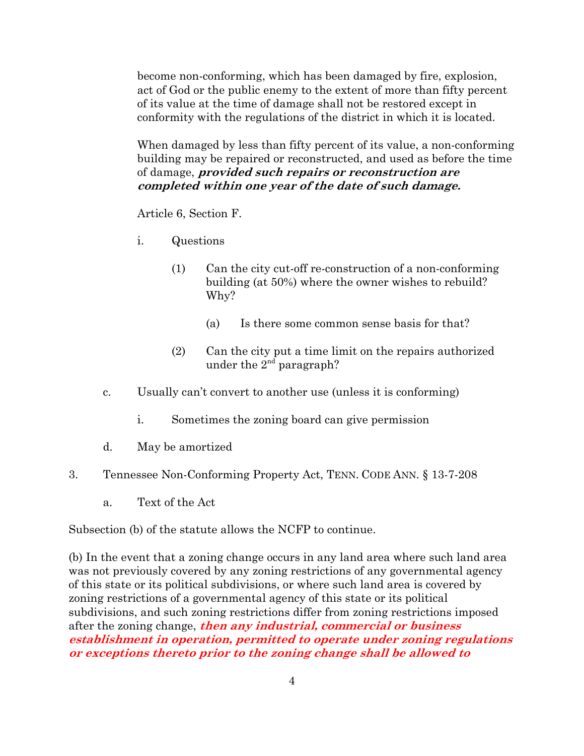become non-conforming, which has been damaged by fire, explosion, act of God or the public enemy to the extent of more than fifty percent of its value at the time of damage shall not be restored except in conformity with the regulations of the district in which it is located.

When damaged by less than fifty percent of its value, a non-conforming building may be repaired or reconstructed, and used as before the time of damage, **provided such repairs or reconstruction are completed within one year of the date of such damage.** 

Article 6, Section F.

- i. Questions
	- (1) Can the city cut-off re-construction of a non-conforming building (at 50%) where the owner wishes to rebuild? Why?
		- (a) Is there some common sense basis for that?
	- (2) Can the city put a time limit on the repairs authorized under the  $2^{nd}$  paragraph?
- c. Usually can't convert to another use (unless it is conforming)
	- i. Sometimes the zoning board can give permission
- d. May be amortized
- 3. Tennessee Non-Conforming Property Act, TENN. CODE ANN. § 13-7-208
	- a. Text of the Act

Subsection (b) of the statute allows the NCFP to continue.

(b) In the event that a zoning change occurs in any land area where such land area was not previously covered by any zoning restrictions of any governmental agency of this state or its political subdivisions, or where such land area is covered by zoning restrictions of a governmental agency of this state or its political subdivisions, and such zoning restrictions differ from zoning restrictions imposed after the zoning change, **then any industrial, commercial or business establishment in operation, permitted to operate under zoning regulations or exceptions thereto prior to the zoning change shall be allowed to**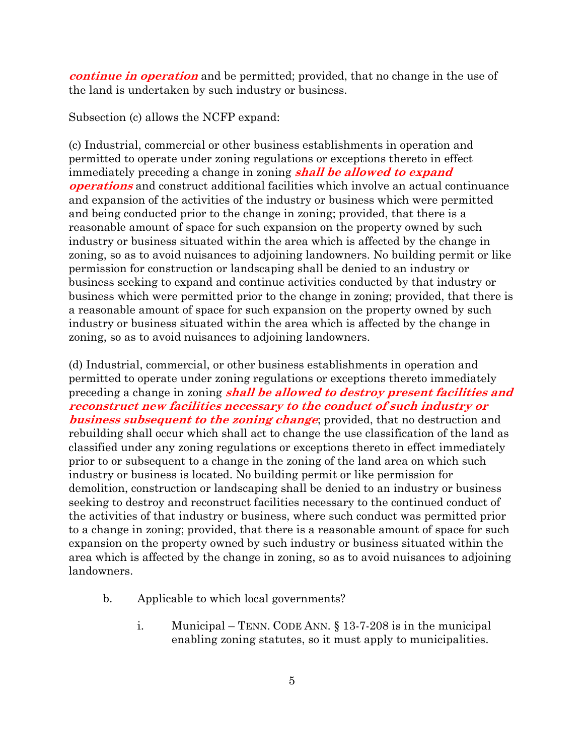**continue in operation** and be permitted; provided, that no change in the use of the land is undertaken by such industry or business.

Subsection (c) allows the NCFP expand:

(c) Industrial, commercial or other business establishments in operation and permitted to operate under zoning regulations or exceptions thereto in effect immediately preceding a change in zoning **shall be allowed to expand operations** and construct additional facilities which involve an actual continuance and expansion of the activities of the industry or business which were permitted and being conducted prior to the change in zoning; provided, that there is a reasonable amount of space for such expansion on the property owned by such industry or business situated within the area which is affected by the change in zoning, so as to avoid nuisances to adjoining landowners. No building permit or like permission for construction or landscaping shall be denied to an industry or business seeking to expand and continue activities conducted by that industry or business which were permitted prior to the change in zoning; provided, that there is a reasonable amount of space for such expansion on the property owned by such industry or business situated within the area which is affected by the change in zoning, so as to avoid nuisances to adjoining landowners.

(d) Industrial, commercial, or other business establishments in operation and permitted to operate under zoning regulations or exceptions thereto immediately preceding a change in zoning **shall be allowed to destroy present facilities and reconstruct new facilities necessary to the conduct of such industry or business subsequent to the zoning change**; provided, that no destruction and rebuilding shall occur which shall act to change the use classification of the land as classified under any zoning regulations or exceptions thereto in effect immediately prior to or subsequent to a change in the zoning of the land area on which such industry or business is located. No building permit or like permission for demolition, construction or landscaping shall be denied to an industry or business seeking to destroy and reconstruct facilities necessary to the continued conduct of the activities of that industry or business, where such conduct was permitted prior to a change in zoning; provided, that there is a reasonable amount of space for such expansion on the property owned by such industry or business situated within the area which is affected by the change in zoning, so as to avoid nuisances to adjoining landowners.

- b. Applicable to which local governments?
	- i. Municipal TENN. CODE ANN. § 13-7-208 is in the municipal enabling zoning statutes, so it must apply to municipalities.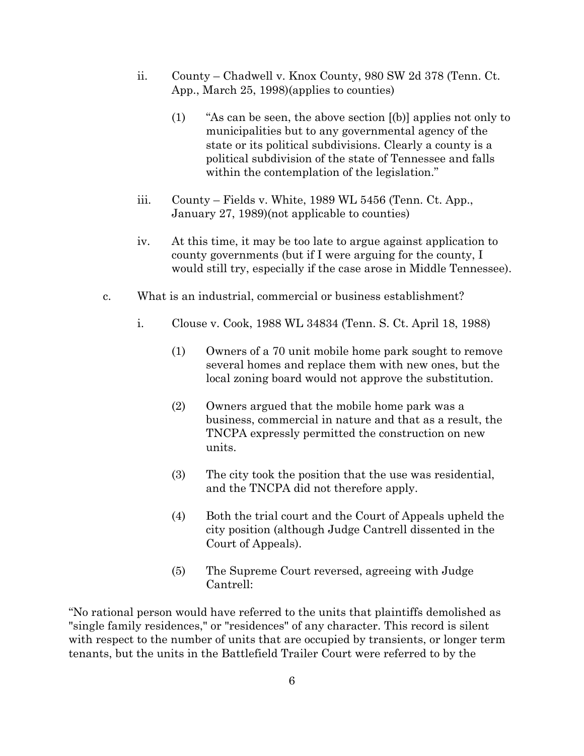- ii. County Chadwell v. Knox County, 980 SW 2d 378 (Tenn. Ct. App., March 25, 1998)(applies to counties)
	- (1) "As can be seen, the above section [(b)] applies not only to municipalities but to any governmental agency of the state or its political subdivisions. Clearly a county is a political subdivision of the state of Tennessee and falls within the contemplation of the legislation."
- iii. County Fields v. White, 1989 WL 5456 (Tenn. Ct. App., January 27, 1989)(not applicable to counties)
- iv. At this time, it may be too late to argue against application to county governments (but if I were arguing for the county, I would still try, especially if the case arose in Middle Tennessee).
- c. What is an industrial, commercial or business establishment?
	- i. Clouse v. Cook, 1988 WL 34834 (Tenn. S. Ct. April 18, 1988)
		- (1) Owners of a 70 unit mobile home park sought to remove several homes and replace them with new ones, but the local zoning board would not approve the substitution.
		- (2) Owners argued that the mobile home park was a business, commercial in nature and that as a result, the TNCPA expressly permitted the construction on new units.
		- (3) The city took the position that the use was residential, and the TNCPA did not therefore apply.
		- (4) Both the trial court and the Court of Appeals upheld the city position (although Judge Cantrell dissented in the Court of Appeals).
		- (5) The Supreme Court reversed, agreeing with Judge Cantrell:

"No rational person would have referred to the units that plaintiffs demolished as "single family residences," or "residences" of any character. This record is silent with respect to the number of units that are occupied by transients, or longer term tenants, but the units in the Battlefield Trailer Court were referred to by the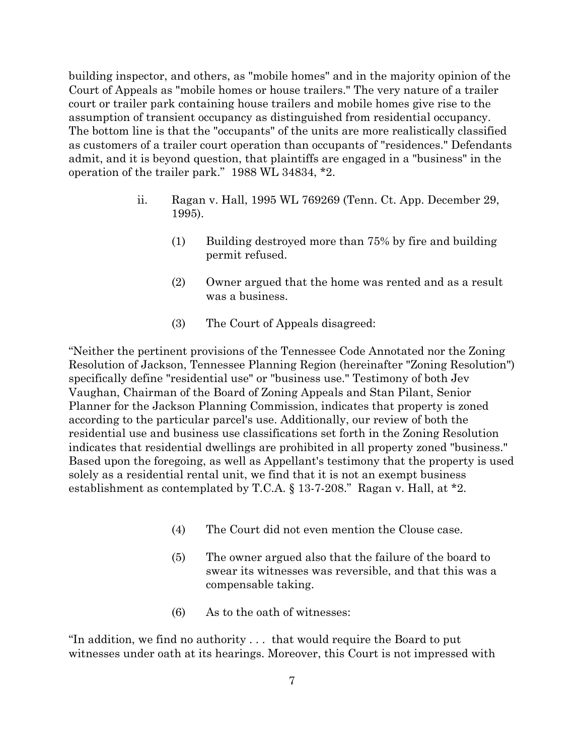building inspector, and others, as "mobile homes" and in the majority opinion of the Court of Appeals as "mobile homes or house trailers." The very nature of a trailer court or trailer park containing house trailers and mobile homes give rise to the assumption of transient occupancy as distinguished from residential occupancy. The bottom line is that the "occupants" of the units are more realistically classified as customers of a trailer court operation than occupants of "residences." Defendants admit, and it is beyond question, that plaintiffs are engaged in a "business" in the operation of the trailer park." 1988 WL 34834, \*2.

- ii. Ragan v. Hall, 1995 WL 769269 (Tenn. Ct. App. December 29, 1995).
	- (1) Building destroyed more than 75% by fire and building permit refused.
	- (2) Owner argued that the home was rented and as a result was a business.
	- (3) The Court of Appeals disagreed:

"Neither the pertinent provisions of the Tennessee Code Annotated nor the Zoning Resolution of Jackson, Tennessee Planning Region (hereinafter "Zoning Resolution") specifically define "residential use" or "business use." Testimony of both Jev Vaughan, Chairman of the Board of Zoning Appeals and Stan Pilant, Senior Planner for the Jackson Planning Commission, indicates that property is zoned according to the particular parcel's use. Additionally, our review of both the residential use and business use classifications set forth in the Zoning Resolution indicates that residential dwellings are prohibited in all property zoned "business." Based upon the foregoing, as well as Appellant's testimony that the property is used solely as a residential rental unit, we find that it is not an exempt business establishment as contemplated by T.C.A. § 13-7-208." Ragan v. Hall, at \*2.

- (4) The Court did not even mention the Clouse case.
- (5) The owner argued also that the failure of the board to swear its witnesses was reversible, and that this was a compensable taking.
- (6) As to the oath of witnesses:

"In addition, we find no authority . . . that would require the Board to put witnesses under oath at its hearings. Moreover, this Court is not impressed with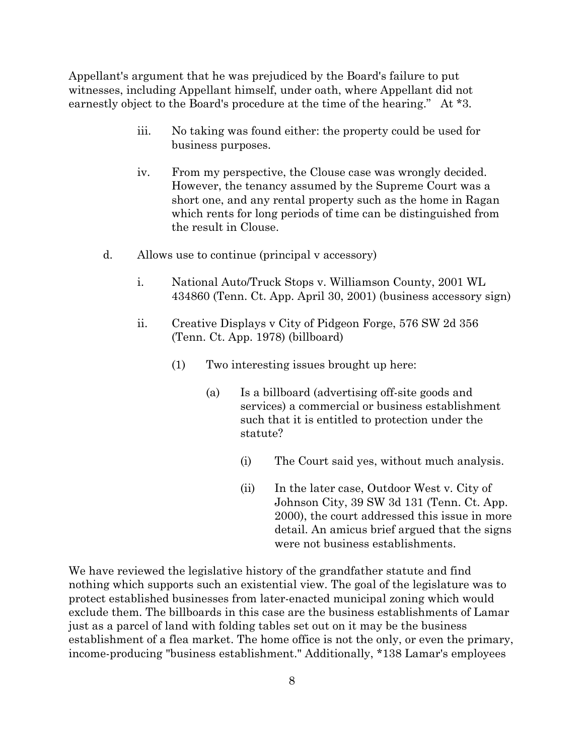Appellant's argument that he was prejudiced by the Board's failure to put witnesses, including Appellant himself, under oath, where Appellant did not earnestly object to the Board's procedure at the time of the hearing." At \*3.

- iii. No taking was found either: the property could be used for business purposes.
- iv. From my perspective, the Clouse case was wrongly decided. However, the tenancy assumed by the Supreme Court was a short one, and any rental property such as the home in Ragan which rents for long periods of time can be distinguished from the result in Clouse.
- d. Allows use to continue (principal v accessory)
	- i. National Auto/Truck Stops v. Williamson County, 2001 WL 434860 (Tenn. Ct. App. April 30, 2001) (business accessory sign)
	- ii. Creative Displays v City of Pidgeon Forge, 576 SW 2d 356 (Tenn. Ct. App. 1978) (billboard)
		- (1) Two interesting issues brought up here:
			- (a) Is a billboard (advertising off-site goods and services) a commercial or business establishment such that it is entitled to protection under the statute?
				- (i) The Court said yes, without much analysis.
				- (ii) In the later case, Outdoor West v. City of Johnson City, 39 SW 3d 131 (Tenn. Ct. App. 2000), the court addressed this issue in more detail. An amicus brief argued that the signs were not business establishments.

We have reviewed the legislative history of the grandfather statute and find nothing which supports such an existential view. The goal of the legislature was to protect established businesses from later-enacted municipal zoning which would exclude them. The billboards in this case are the business establishments of Lamar just as a parcel of land with folding tables set out on it may be the business establishment of a flea market. The home office is not the only, or even the primary, income-producing "business establishment." Additionally, \*138 Lamar's employees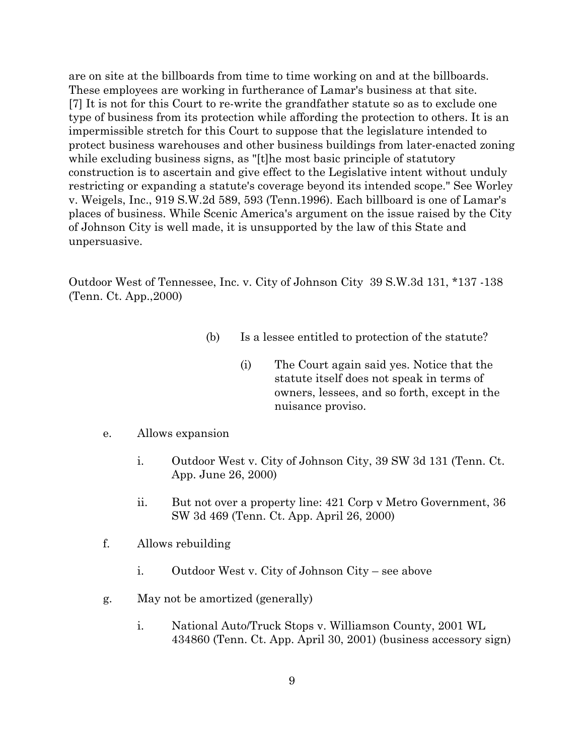are on site at the billboards from time to time working on and at the billboards. These employees are working in furtherance of Lamar's business at that site. [7] It is not for this Court to re-write the grandfather statute so as to exclude one type of business from its protection while affording the protection to others. It is an impermissible stretch for this Court to suppose that the legislature intended to protect business warehouses and other business buildings from later-enacted zoning while excluding business signs, as "[t]he most basic principle of statutory construction is to ascertain and give effect to the Legislative intent without unduly restricting or expanding a statute's coverage beyond its intended scope." See Worley v. Weigels, Inc., 919 S.W.2d 589, 593 (Tenn.1996). Each billboard is one of Lamar's places of business. While Scenic America's argument on the issue raised by the City of Johnson City is well made, it is unsupported by the law of this State and unpersuasive.

Outdoor West of Tennessee, Inc. v. City of Johnson City 39 S.W.3d 131, \*137 -138 (Tenn. Ct. App.,2000)

- (b) Is a lessee entitled to protection of the statute?
	- (i) The Court again said yes. Notice that the statute itself does not speak in terms of owners, lessees, and so forth, except in the nuisance proviso.
- e. Allows expansion
	- i. Outdoor West v. City of Johnson City, 39 SW 3d 131 (Tenn. Ct. App. June 26, 2000)
	- ii. But not over a property line: 421 Corp v Metro Government, 36 SW 3d 469 (Tenn. Ct. App. April 26, 2000)
- f. Allows rebuilding
	- i. Outdoor West v. City of Johnson City see above
- g. May not be amortized (generally)
	- i. National Auto/Truck Stops v. Williamson County, 2001 WL 434860 (Tenn. Ct. App. April 30, 2001) (business accessory sign)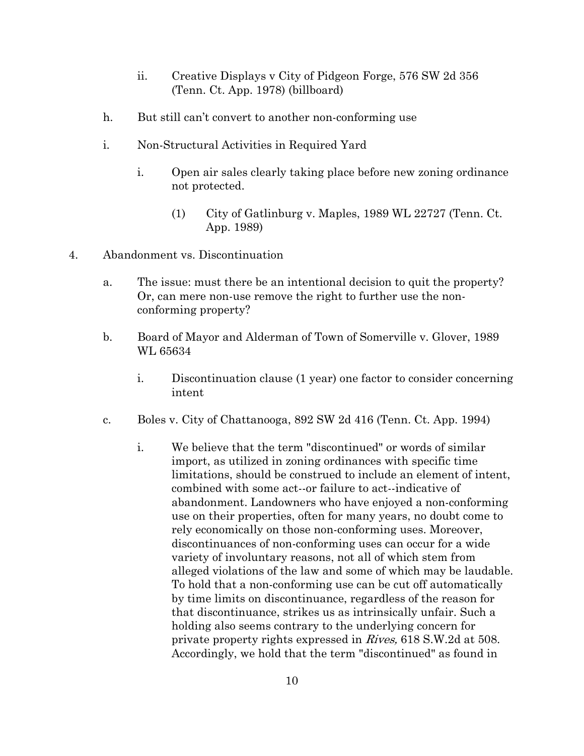- ii. Creative Displays v City of Pidgeon Forge, 576 SW 2d 356 (Tenn. Ct. App. 1978) (billboard)
- h. But still can't convert to another non-conforming use
- i. Non-Structural Activities in Required Yard
	- i. Open air sales clearly taking place before new zoning ordinance not protected.
		- (1) City of Gatlinburg v. Maples, 1989 WL 22727 (Tenn. Ct. App. 1989)
- 4. Abandonment vs. Discontinuation
	- a. The issue: must there be an intentional decision to quit the property? Or, can mere non-use remove the right to further use the nonconforming property?
	- b. Board of Mayor and Alderman of Town of Somerville v. Glover, 1989 WL 65634
		- i. Discontinuation clause (1 year) one factor to consider concerning intent
	- c. Boles v. City of Chattanooga, 892 SW 2d 416 (Tenn. Ct. App. 1994)
		- i. We believe that the term "discontinued" or words of similar import, as utilized in zoning ordinances with specific time limitations, should be construed to include an element of intent, combined with some act--or failure to act--indicative of abandonment. Landowners who have enjoyed a non-conforming use on their properties, often for many years, no doubt come to rely economically on those non-conforming uses. Moreover, discontinuances of non-conforming uses can occur for a wide variety of involuntary reasons, not all of which stem from alleged violations of the law and some of which may be laudable. To hold that a non-conforming use can be cut off automatically by time limits on discontinuance, regardless of the reason for that discontinuance, strikes us as intrinsically unfair. Such a holding also seems contrary to the underlying concern for private property rights expressed in Rives, 618 S.W.2d at 508. Accordingly, we hold that the term "discontinued" as found in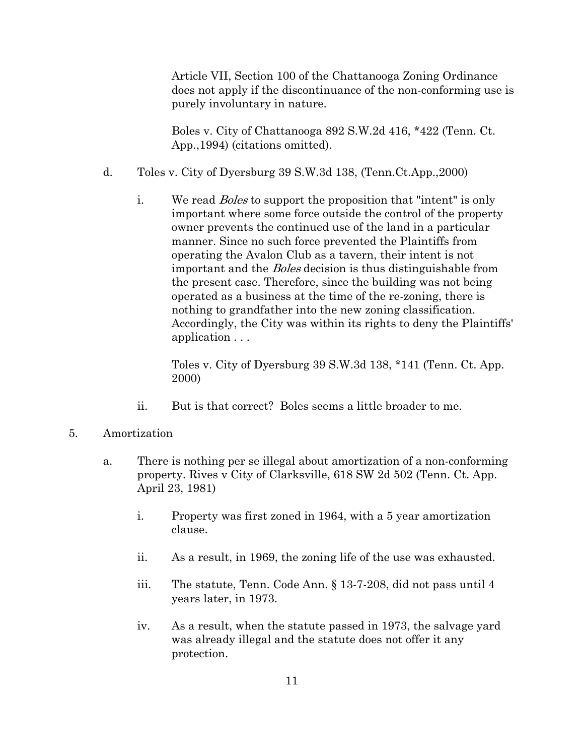Article VII, Section 100 of the Chattanooga Zoning Ordinance does not apply if the discontinuance of the non-conforming use is purely involuntary in nature.

Boles v. City of Chattanooga 892 S.W.2d 416, \*422 (Tenn. Ct. App.,1994) (citations omitted).

- d. Toles v. City of Dyersburg 39 S.W.3d 138, (Tenn.Ct.App.,2000)
	- i. We read *Boles* to support the proposition that "intent" is only important where some force outside the control of the property owner prevents the continued use of the land in a particular manner. Since no such force prevented the Plaintiffs from operating the Avalon Club as a tavern, their intent is not important and the Boles decision is thus distinguishable from the present case. Therefore, since the building was not being operated as a business at the time of the re-zoning, there is nothing to grandfather into the new zoning classification. Accordingly, the City was within its rights to deny the Plaintiffs' application . . .

Toles v. City of Dyersburg 39 S.W.3d 138, \*141 (Tenn. Ct. App. 2000)

- ii. But is that correct? Boles seems a little broader to me.
- 5. Amortization
	- a. There is nothing per se illegal about amortization of a non-conforming property. Rives v City of Clarksville, 618 SW 2d 502 (Tenn. Ct. App. April 23, 1981)
		- i. Property was first zoned in 1964, with a 5 year amortization clause.
		- ii. As a result, in 1969, the zoning life of the use was exhausted.
		- iii. The statute, Tenn. Code Ann. § 13-7-208, did not pass until 4 years later, in 1973.
		- iv. As a result, when the statute passed in 1973, the salvage yard was already illegal and the statute does not offer it any protection.